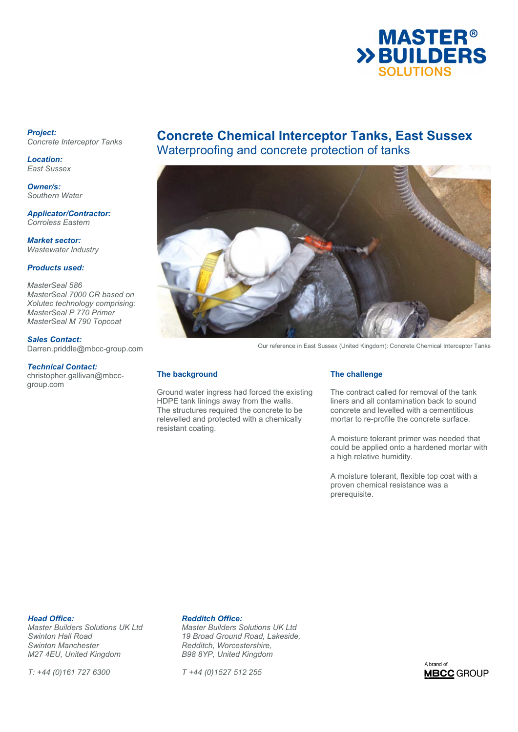

### *Project: Concrete Interceptor Tanks*

*Location: East Sussex* 

*Owner/s: Southern Water* 

*Applicator/Contractor: Corroless Eastern* 

*Market sector: Wastewater Industry* 

## *Products used:*

*MasterSeal 586 MasterSeal 7000 CR based on Xolutec technology comprising: MasterSeal P 770 Primer MasterSeal M 790 Topcoat* 

# *Sales Contact:*

Darren.priddle@mbcc-group.com

### *Technical Contact:*

christopher.gallivan@mbccgroup.com

# **Concrete Chemical Interceptor Tanks, East Sussex**  Waterproofing and concrete protection of tanks



Our reference in East Sussex (United Kingdom): Concrete Chemical Interceptor Tanks

### **The background**

Ground water ingress had forced the existing HDPE tank linings away from the walls. The structures required the concrete to be relevelled and protected with a chemically resistant coating.

### **The challenge**

The contract called for removal of the tank liners and all contamination back to sound concrete and levelled with a cementitious mortar to re-profile the concrete surface.

A moisture tolerant primer was needed that could be applied onto a hardened mortar with a high relative humidity.

A moisture tolerant, flexible top coat with a proven chemical resistance was a prerequisite.

**Head Office: Redditch Office:**<br> *Master Builders Solutions UK Ltd* Master Builders S *Swinton Manchester Redditch, Worcestershire, M27 4EU, United Kingdom* 

*T: +44 (0)161 727 6300 T +44 (0)1527 512 255* 

*Master Builders Solutions UK Ltd Master Builders Solutions UK Ltd Swinton Hall Road 19 Broad Ground Road, Lakeside,* 

A brand of **MBCC** GROUP